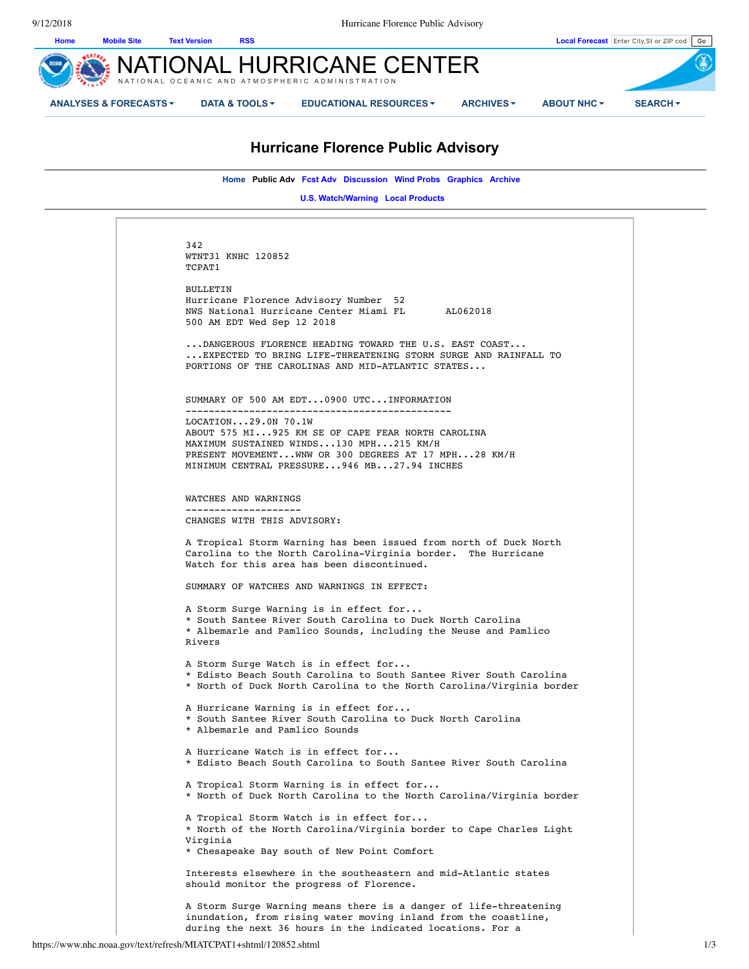

# **Hurricane Florence Public Advisory**

**Home Public Adv Fcst Adv Discussion Wind Probs Graphics Archive** 

**U.S. Watch/Warning Local Products** 

342 WTNT31 KNHC 120852 TCPAT1 BULLETIN Hurricane Florence Advisory Number 52 NWS National Hurricane Center Miami FL AL062018 500 AM EDT Wed Sep 12 2018 ...DANGEROUS FLORENCE HEADING TOWARD THE U.S. EAST COAST... ...EXPECTED TO BRING LIFE-THREATENING STORM SURGE AND RAINFALL TO PORTIONS OF THE CAROLINAS AND MID-ATLANTIC STATES... SUMMARY OF 500 AM EDT...0900 UTC...INFORMATION ---------------------------------------------- LOCATION...29.0N 70.1W ABOUT 575 MI...925 KM SE OF CAPE FEAR NORTH CAROLINA MAXIMUM SUSTAINED WINDS...130 MPH...215 KM/H PRESENT MOVEMENT...WNW OR 300 DEGREES AT 17 MPH...28 KM/H MINIMUM CENTRAL PRESSURE...946 MB...27.94 INCHES WATCHES AND WARNINGS -------------------- CHANGES WITH THIS ADVISORY: A Tropical Storm Warning has been issued from north of Duck North Carolina to the North Carolina-Virginia border. The Hurricane Watch for this area has been discontinued. SUMMARY OF WATCHES AND WARNINGS IN EFFECT: A Storm Surge Warning is in effect for... \* South Santee River South Carolina to Duck North Carolina \* Albemarle and Pamlico Sounds, including the Neuse and Pamlico Rivers A Storm Surge Watch is in effect for... \* Edisto Beach South Carolina to South Santee River South Carolina \* North of Duck North Carolina to the North Carolina/Virginia border A Hurricane Warning is in effect for... \* South Santee River South Carolina to Duck North Carolina \* Albemarle and Pamlico Sounds A Hurricane Watch is in effect for... \* Edisto Beach South Carolina to South Santee River South Carolina A Tropical Storm Warning is in effect for... \* North of Duck North Carolina to the North Carolina/Virginia border A Tropical Storm Watch is in effect for... \* North of the North Carolina/Virginia border to Cape Charles Light Virginia \* Chesapeake Bay south of New Point Comfort Interests elsewhere in the southeastern and mid-Atlantic states should monitor the progress of Florence. A Storm Surge Warning means there is a danger of life-threatening inundation, from rising water moving inland from the coastline, during the next 36 hours in the indicated locations. For a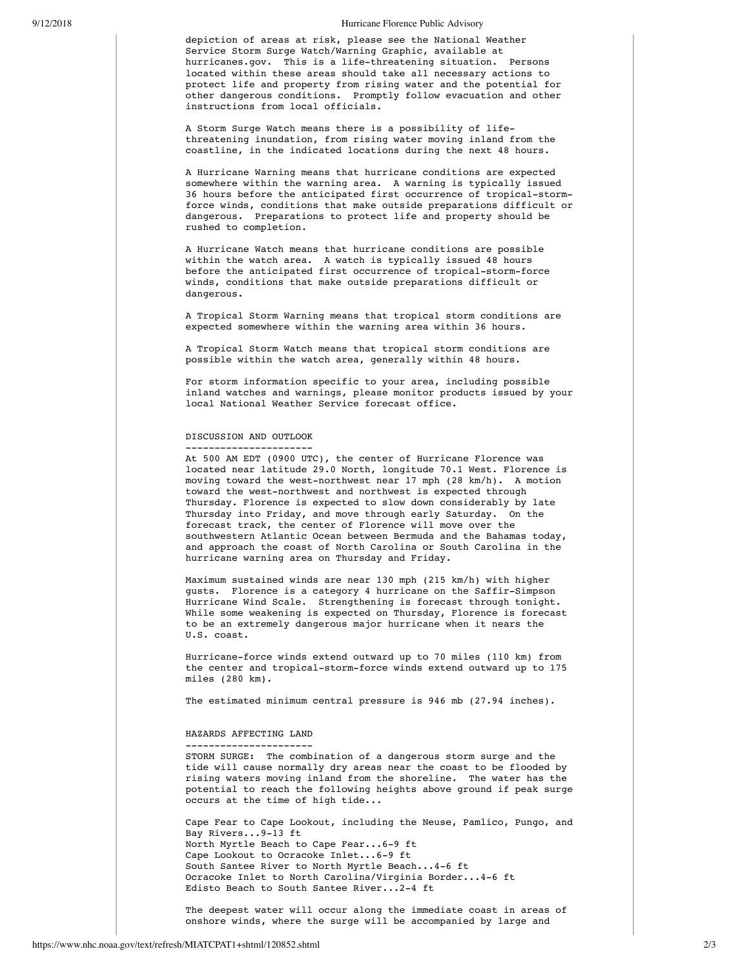### 9/12/2018 Hurricane Florence Public Advisory

depiction of areas at risk, please see the National Weather Service Storm Surge Watch/Warning Graphic, available at hurricanes.gov. This is a life-threatening situation. Persons located within these areas should take all necessary actions to protect life and property from rising water and the potential for other dangerous conditions. Promptly follow evacuation and other instructions from local officials.

A Storm Surge Watch means there is a possibility of lifethreatening inundation, from rising water moving inland from the coastline, in the indicated locations during the next 48 hours.

A Hurricane Warning means that hurricane conditions are expected somewhere within the warning area. A warning is typically issued 36 hours before the anticipated first occurrence of tropical-stormforce winds, conditions that make outside preparations difficult or dangerous. Preparations to protect life and property should be rushed to completion.

A Hurricane Watch means that hurricane conditions are possible within the watch area. A watch is typically issued 48 hours before the anticipated first occurrence of tropical-storm-force winds, conditions that make outside preparations difficult or dangerous.

A Tropical Storm Warning means that tropical storm conditions are expected somewhere within the warning area within 36 hours.

A Tropical Storm Watch means that tropical storm conditions are possible within the watch area, generally within 48 hours.

For storm information specific to your area, including possible inland watches and warnings, please monitor products issued by your local National Weather Service forecast office.

### DISCUSSION AND OUTLOOK ----------------------

At 500 AM EDT (0900 UTC), the center of Hurricane Florence was located near latitude 29.0 North, longitude 70.1 West. Florence is moving toward the west-northwest near 17 mph (28 km/h). A motion toward the west-northwest and northwest is expected through Thursday. Florence is expected to slow down considerably by late Thursday into Friday, and move through early Saturday. On the forecast track, the center of Florence will move over the southwestern Atlantic Ocean between Bermuda and the Bahamas today, and approach the coast of North Carolina or South Carolina in the hurricane warning area on Thursday and Friday.

Maximum sustained winds are near 130 mph (215 km/h) with higher gusts. Florence is a category 4 hurricane on the Saffir-Simpson Hurricane Wind Scale. Strengthening is forecast through tonight. While some weakening is expected on Thursday, Florence is forecast to be an extremely dangerous major hurricane when it nears the U.S. coast.

Hurricane-force winds extend outward up to 70 miles (110 km) from the center and tropical-storm-force winds extend outward up to 175 miles (280 km).

The estimated minimum central pressure is 946 mb (27.94 inches).

### HAZARDS AFFECTING LAND ----------------------

STORM SURGE: The combination of a dangerous storm surge and the tide will cause normally dry areas near the coast to be flooded by rising waters moving inland from the shoreline. The water has the potential to reach the following heights above ground if peak surge occurs at the time of high tide...

Cape Fear to Cape Lookout, including the Neuse, Pamlico, Pungo, and Bay Rivers...9-13 ft North Myrtle Beach to Cape Fear...6-9 ft Cape Lookout to Ocracoke Inlet...6-9 ft South Santee River to North Myrtle Beach...4-6 ft Ocracoke Inlet to North Carolina/Virginia Border...4-6 ft Edisto Beach to South Santee River...2-4 ft

The deepest water will occur along the immediate coast in areas of onshore winds, where the surge will be accompanied by large and